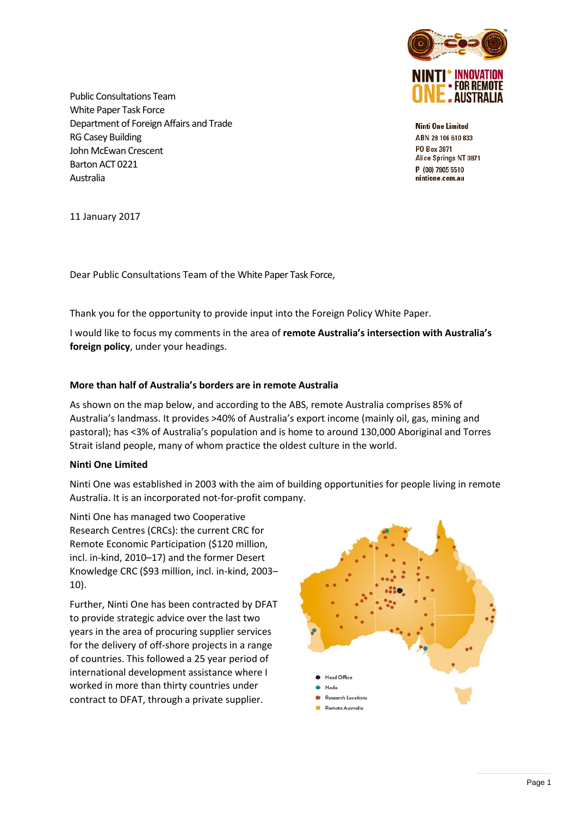

**Ninti One Limited** ABN 28 106 610 833 PO Box 3971 Alice Springs NT 0871 P (08) 7905 5510 nintione.com.au

Public Consultations Team White Paper Task Force Department of Foreign Affairs and Trade RG Casey Building John McEwan Crescent Barton ACT 0221 Australia

11 January 2017

Dear Public Consultations Team of the White Paper Task Force,

Thank you for the opportunity to provide input into the Foreign Policy White Paper.

I would like to focus my comments in the area of **remote Australia's intersection with Australia's foreign policy**, under your headings.

## **More than half of Australia's borders are in remote Australia**

As shown on the map below, and according to the ABS, remote Australia comprises 85% of Australia's landmass. It provides >40% of Australia's export income (mainly oil, gas, mining and pastoral); has <3% of Australia's population and is home to around 130,000 Aboriginal and Torres Strait island people, many of whom practice the oldest culture in the world.

### **Ninti One Limited**

Ninti One was established in 2003 with the aim of building opportunities for people living in remote Australia. It is an incorporated not-for-profit company.

Ninti One has managed two Cooperative Research Centres (CRCs): the current CRC for Remote Economic Participation (\$120 million, incl. in-kind, 2010–17) and the former Desert Knowledge CRC (\$93 million, incl. in-kind, 2003– 10).

Further, Ninti One has been contracted by DFAT to provide strategic advice over the last two years in the area of procuring supplier services for the delivery of off-shore projects in a range of countries. This followed a 25 year period of international development assistance where I worked in more than thirty countries under contract to DFAT, through a private supplier.

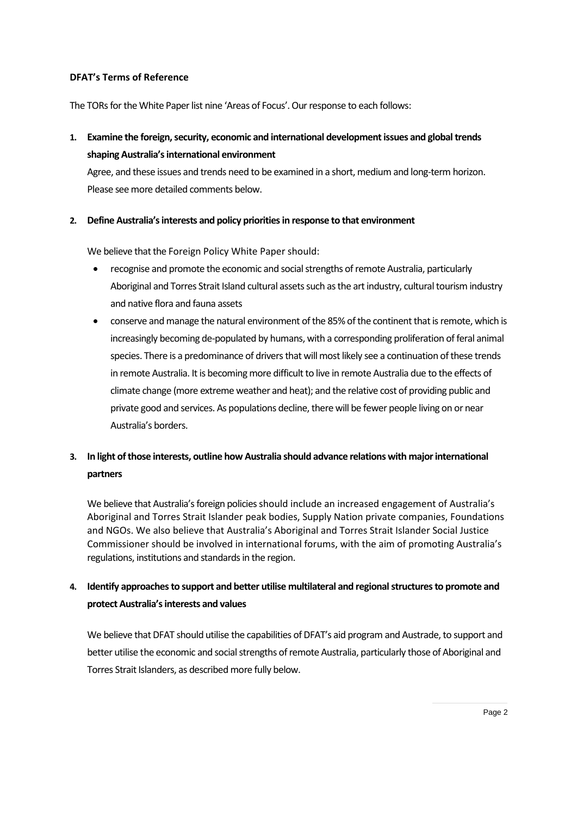### **DFAT's Terms of Reference**

The TORs for the White Paper list nine 'Areas of Focus'. Our response to each follows:

**1. Examine the foreign, security, economic and international development issues and global trends shaping Australia's international environment**

Agree, and these issues and trends need to be examined in a short, medium and long-term horizon. Please see more detailed comments below.

## **2. Define Australia's interests and policy priorities in response to that environment**

We believe that the Foreign Policy White Paper should:

- recognise and promote the economic and social strengths of remote Australia, particularly Aboriginal and Torres Strait Island cultural assets such as the art industry, cultural tourism industry and native flora and fauna assets
- conserve and manage the natural environment of the 85% of the continent that is remote, which is increasingly becoming de-populated by humans, with a corresponding proliferation of feral animal species. There is a predominance of drivers that will most likely see a continuation of these trends in remote Australia. It is becoming more difficult to live in remote Australia due to the effects of climate change (more extreme weather and heat); and the relative cost of providing public and private good and services. As populations decline, there will be fewer people living on or near Australia's borders.

## **3. In light of those interests, outline how Australia should advance relations with major international partners**

We believe that Australia's foreign policies should include an increased engagement of Australia's Aboriginal and Torres Strait Islander peak bodies, Supply Nation private companies, Foundations and NGOs. We also believe that Australia's Aboriginal and Torres Strait Islander Social Justice Commissioner should be involved in international forums, with the aim of promoting Australia's regulations, institutions and standards in the region.

## **4. Identify approaches to support and better utilise multilateral and regional structures to promote and protect Australia's interests and values**

We believe that DFAT should utilise the capabilities of DFAT's aid program and Austrade, to support and better utilise the economic and social strengths of remote Australia, particularly those of Aboriginal and Torres Strait Islanders, as described more fully below.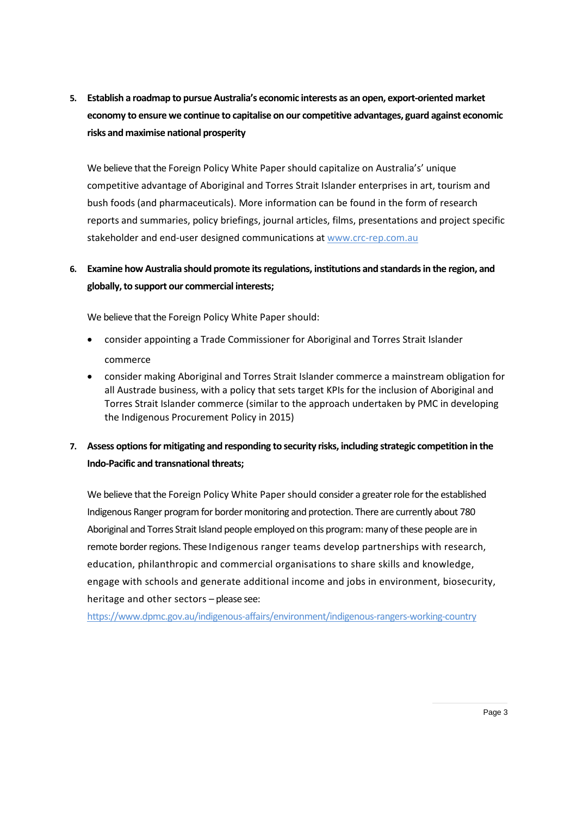# **5. Establish a roadmap to pursue Australia's economic interests as an open, export-oriented market economy to ensure we continue to capitalise on our competitive advantages, guard against economic risks and maximise national prosperity**

We believe that the Foreign Policy White Paper should capitalize on Australia's' unique competitive advantage of Aboriginal and Torres Strait Islander enterprises in art, tourism and bush foods (and pharmaceuticals). More information can be found in the form of research reports and summaries, policy briefings, journal articles, films, presentations and project specific stakeholder and end-user designed communications at [www.crc-rep.com.au](http://www.crc-rep.com.au/)

## **6. Examine how Australia should promote its regulations, institutions and standards in the region, and globally, to support our commercial interests;**

We believe that the Foreign Policy White Paper should:

- consider appointing a Trade Commissioner for Aboriginal and Torres Strait Islander commerce
- consider making Aboriginal and Torres Strait Islander commerce a mainstream obligation for all Austrade business, with a policy that sets target KPIs for the inclusion of Aboriginal and Torres Strait Islander commerce (similar to the approach undertaken by PMC in developing the Indigenous Procurement Policy in 2015)

## **7. Assess options for mitigating and responding to security risks, including strategic competition in the Indo-Pacific and transnational threats;**

We believe that the Foreign Policy White Paper should consider a greater role for the established Indigenous Ranger program for border monitoring and protection. There are currently about 780 Aboriginal and Torres Strait Island people employed on this program: many of these people are in remote border regions. These Indigenous ranger teams develop partnerships with research, education, philanthropic and commercial organisations to share skills and knowledge, engage with schools and generate additional income and jobs in environment, biosecurity, heritage and other sectors – please see:

<https://www.dpmc.gov.au/indigenous-affairs/environment/indigenous-rangers-working-country>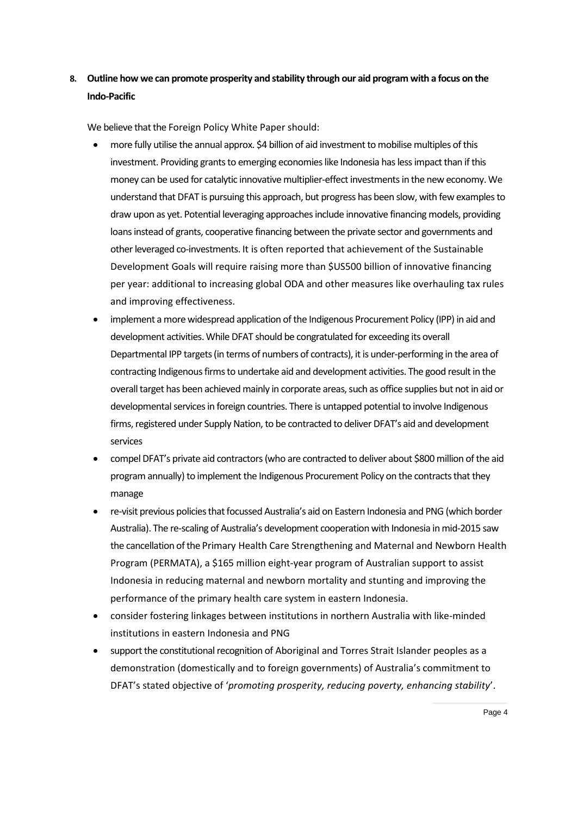# **8. Outline how we can promote prosperity and stability through our aid program with a focus on the Indo-Pacific**

We believe that the Foreign Policy White Paper should:

- more fully utilise the annual approx. \$4 billion of aid investment to mobilise multiples of this investment. Providing grants to emerging economies like Indonesia has less impact than if this money can be used for catalytic innovative multiplier-effect investments in the new economy. We understand that DFAT is pursuing this approach, but progress has been slow, with few examples to draw upon as yet. Potential leveraging approaches include innovative financing models, providing loans instead of grants, cooperative financing between the private sector and governments and other leveraged co-investments. It is often reported that achievement of the Sustainable Development Goals will require raising more than \$US500 billion of innovative financing per year: additional to increasing global ODA and other measures like overhauling tax rules and improving effectiveness.
- implement a more widespread application of the Indigenous Procurement Policy (IPP) in aid and development activities. While DFAT should be congratulated for exceeding its overall Departmental IPP targets (in terms of numbers of contracts), it is under-performing in the area of contracting Indigenous firms to undertake aid and development activities. The good result in the overall target has been achieved mainly in corporate areas, such as office supplies but not in aid or developmental services in foreign countries. There is untapped potential to involve Indigenous firms, registered under Supply Nation, to be contracted to deliver DFAT's aid and development services
- compel DFAT's private aid contractors (who are contracted to deliver about \$800 million of the aid program annually) to implement the Indigenous Procurement Policy on the contracts that they manage
- re-visit previous policiesthat focussed Australia's aid on Eastern Indonesia and PNG (which border Australia). The re-scaling of Australia's development cooperation with Indonesia in mid-2015 saw the cancellation of the Primary Health Care Strengthening and Maternal and Newborn Health Program (PERMATA), a \$165 million eight-year program of Australian support to assist Indonesia in reducing maternal and newborn mortality and stunting and improving the performance of the primary health care system in eastern Indonesia.
- consider fostering linkages between institutions in northern Australia with like-minded institutions in eastern Indonesia and PNG
- support the constitutional recognition of Aboriginal and Torres Strait Islander peoples as a demonstration (domestically and to foreign governments) of Australia's commitment to DFAT's stated objective of '*promoting prosperity, reducing poverty, enhancing stability*'.